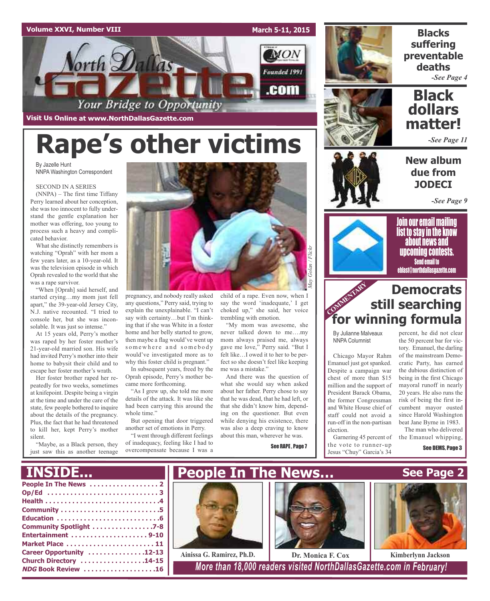

By Jazelle Hunt

cated behavior.

was a rape survivor.

silent.

Oprah revealed to the world that she

"When [Oprah] said herself, and started crying…my mom just fell apart," the 39-year-old Jersey City, N.J. native recounted. "I tried to console her, but she was inconsolable. It was just so intense." At 15 years old, Perry's mother was raped by her foster mother's 21-year-old married son. His wife had invited Perry's mother into their home to babysit their child and to escape her foster mother's wrath. Her foster brother raped her repeatedly for two weeks, sometimes at knifepoint. Despite being a virgin at the time and under the care of the state, few people bothered to inquire about the details of the pregnancy. Plus, the fact that he had threatened to kill her, kept Perry's mother

"Maybe, as a Black person, they just saw this as another teenage



**Blacks suffering preventable deaths** *-See Page 4*



# **Black dollars matter!**

*-See Page 11*

**New album due from JODECI**

*-See Page 9*



Join our email mailing list to stay in the know about news and upcoming contests. Send email to eblast@northdallasgazette.com

#### COMMENTARY **COMMENT Democrats still searching for winning formula**

By Julianne Malveaux NNPA Columnist

Chicago Mayor Rahm Emanuel just got spanked. Despite a campaign war chest of more than \$15 million and the support of President Barack Obama, the former Congressman run-off in the non-partisan election.

Garnering 45 percent of the vote to runner-up Jesus "Chuy" Garcia's 34

percent, he did not clear the 50 percent bar for victory. Emanuel, the darling of the mainstream Democratic Party, has earned the dubious distinction of being in the first Chicago mayoral runoff in nearly 20 years. He also runs the risk of being the first incumbent mayor ousted since Harold Washington



pregnancy, and nobody really asked any questions," Perry said, trying to explain the unexplainable. "I can't say with certainty…but I'm thinking that if she was White in a foster home and her belly started to grow, then maybe a flag would've went up somewhere and somebody would've investigated more as to why this foster child is pregnant."

In subsequent years, freed by the Oprah episode, Perry's mother became more forthcoming.

"As I grew up, she told me more details of the attack. It was like she had been carrying this around the whole time.'

But opening that door triggered another set of emotions in Perry. "I went through different feelings

of inadequacy, feeling like I had to overcompensate because I was a

child of a rape. Even now, when I say the word 'inadequate,' I get choked up," she said, her voice trembling with emotion.

*May*

"My mom was awesome, she never talked down to me….my mom always praised me, always gave me love," Perry said. "But I felt like…I owed it to her to be perfect so she doesn't feel like keeping me was a mistake."

And there was the question of what she would say when asked about her father. Perry chose to say that he was dead, that he had left, or that she didn't know him, depending on the questioner. But even while denying his existence, there was also a deep craving to know about this man, wherever he was.

See RAPE , Page 7



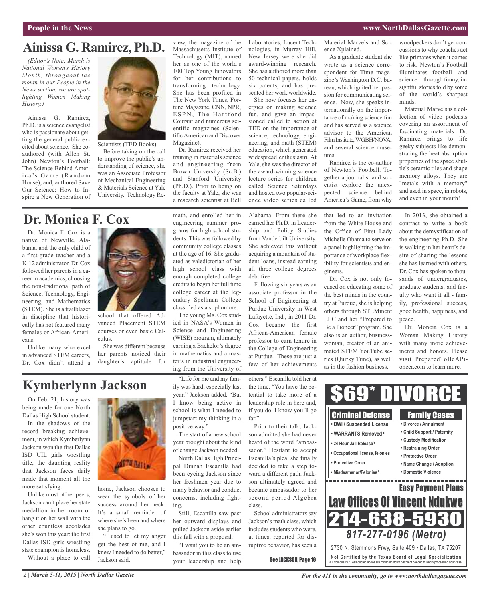#### **People in the News www.NorthDallasGazette.com**

### **Ainissa G. Ramirez, Ph.D.**

*(Editor's Note: March is National Women's History Month, throughout the month in our People in the News section, we are spotlighting Women Making History.)*

Ainissa G. Ramirez, Ph.D. is a science evangelist who is passionate about getting the general public excited about science. She coauthored (with Allen St. John) Newton's Football: The Science Behind America's Game (Random House); and, authored Save Our Science: How to Inspire a New Generation of



Scientists (TED Books). Before taking on the call

to improve the public's understanding of science, she was an Associate Professor of Mechanical Engineering & Materials Science at Yale University. Technology Re-

# **Dr. Monica F. Cox**

Dr. Monica F. Cox is a native of Newville, Alabama, and the only child of a first-grade teacher and a K-12 administrator. Dr. Cox followed her parents in a career in academics, choosing the non-traditional path of Science, Technology, Engineering, and Mathematics (STEM). She is a trailblazer in discipline that historically has not featured many females or African-Americans.

Unlike many who excel in advanced STEM careers, Dr. Cox didn't attend a



school that offered Advanced Placement STEM courses or even basic Calculus.

She was different because her parents noticed their daughter's aptitude for

#### math, and enrolled her in engineering summer programs for high school students. This was followed by community college classes at the age of 16. She graduated as valedictorian of her high school class with enough completed college credits to begin her full time college career at the legendary Spellman College (Ph.D.). Prior to being on the faculty at Yale, she was a research scientist at Bell

Dr. Ramirez received her training in materials science and engineering from Brown University (Sc.B.) and Stanford University

view, the magazine of the Massachusetts Institute of Technology (MIT), named her as one of the world's 100 Top Young Innovators for her contributions to transforming technology. She has been profiled in The New York Times, Fortune Magazine, CNN, NPR, ESPN, The Hartford Courant and numerous scientific magazines (Scientific American and Discover

Magazine).

classified as a sophomore. The young Ms. Cox studied in NASA's Women in Science and Engineering (WISE) program, ultimately earning a Bachelor's degree in mathematics and a master's in industrial engineering from the University of

**Kymberlynn Jackson**

On Feb. 21, history was being made for one North Dallas High School student.

In the shadows of the record breaking achievement, in which Kymberlynn Jackson won the first Dallas ISD UIL girls wrestling title, the daunting reality that Jackson faces daily made that moment all the more satisfying.

Unlike most of her peers, Jackson can't place her state medallion in her room or hang it on her wall with the other countless accolades she's won this year: the first Dallas ISD girls wrestling state champion is homeless. Without a place to call



home, Jackson chooses to wear the symbols of her success around her neck. It's a small reminder of where she's been and where she plans to go.

"I used to let my anger get the best of me, and I knew I needed to do better," Jackson said.

"Life for me and my family was hard, especially last year." Jackson added. "But I know being active in school is what I needed to jumpstart my thinking in a positive way." far."

The start of a new school year brought about the kind of change Jackson needed.

North Dallas High Principal Dinnah Escanilla had been eyeing Jackson since her freshmen year due to many behavior and conduct concerns, including fighting.

class.

Still, Escanilla saw past her outward displays and pulled Jackson aside earlier this fall with a proposal.

"I want you to be an ambassador in this class to use your leadership and help Laboratories, Lucent Technologies, in Murray Hill, New Jersey were she did award-winning research. She has authored more than 50 technical papers, holds six patents, and has presented her work worldwide.

She now focuses her energies on making science fun, and gave an impassioned called to action at TED on the importance of science, technology, engineering, and math (STEM) education, which generated widespread enthusiasm. At Yale, she was the director of the award-winning science lecture series for children called Science Saturdays and hosted two popular-science video series called

Alabama. From there she earned her Ph.D. in Leadership and Policy Studies from Vanderbilt University. She achieved this without acquiring a mountain of student loans, instead earning all three college degrees debt free.

Following six years as an associate professor in the School of Engineering at Purdue University in West Lafayette, Ind., in 2011 Dr. Cox became the first African-American female professor to earn tenure in the College of Engineering at Purdue. These are just a few of her achievements that led to an invitation from the White House and the Office of First Lady Michelle Obama to serve on a panel highlighting the importance of workplace flexibility for scientists and engineers.

Ramirez is the co-author of Newton's Football. Together a journalist and scientist explore the unexpected science behind America's Game, from why

Material Marvels and Sci-

As a graduate student she wrote as a science correspondent for Time magazine's Washington D.C. bureau, which ignited her passion for communicating science. Now, she speaks internationally on the importance of making science fun and has served as a science advisor to the American FilmInstitute,WGBH/NOVA, and several science muse-

ence Xplained.

ums.

Dr. Cox is not only focused on educating some of the best minds in the country at Purdue, she is helping others through STEMinent LLC and her "Prepared to Be a Pioneer" program. She also is an author, businesswoman, creator of an animated STEM YouTube series (Quirky Time), as well as in the fashion business.

woodpeckers don't get concussions to why coaches act like primates when it comes to risk. Newton's Football illuminates football—and science—through funny, insightful stories told by some of the world's sharpest minds.

Material Marvels is a collection of video podcasts covering an assortment of fascinating materials. Dr. Ramirez brings to life geeky subjects like demonstrating the heat absorption properties of the space shuttle's ceramic tiles and shape memory alloys. They are "metals with a memory" and used in space, in robots, and even in your mouth!

In 2013, she obtained a contract to write a book about the demystification of the engineering Ph.D. She is walking in her heart's desire of sharing the lessons she has learned with others. Dr. Cox has spoken to thousands of undergraduates, graduate students, and faculty who want it all - family, professional success, good health, happiness, and peace.

Dr. Moncia Cox is a Woman Making History with many more achievements and honors. Please visit PreparedToBeAPioneer.com to learn more.

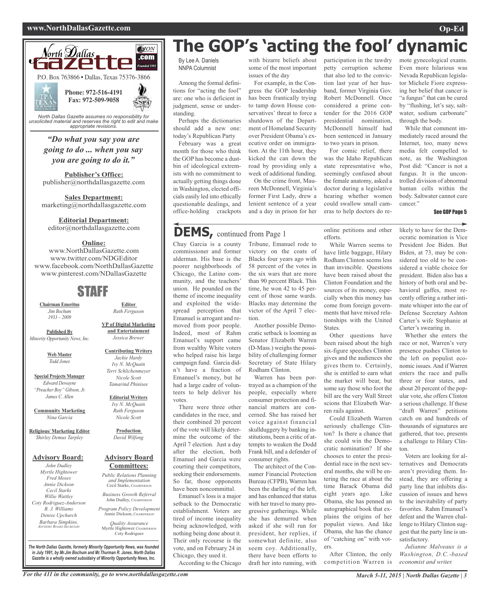

*unsolicited material and reserves the right to edit and make appropriate revisions.*

#### *"Do what you say you are going to do ... when you say you are going to do it."*

**Publisher's Office:** publisher@northdallasgazette.com

**Sales Department:** marketing@northdallasgazette.com

#### **Editorial Department:**

editor@northdallasgazette.com

#### **Online:**

www.NorthDallasGazette.com www.twitter.com/NDGEditor www.facebook.com/NorthDallasGazette www.pinterest.com/NDallasGazette

### STAFF

**Chairman Emeritus** *Jim Bochum 1933 – 2009*

**Published By** *Minority Opportunity News, Inc.*

> **Web Master** *Todd Jones*

**Special Projects Manager** *Edward Dewayne "Preacher Boy" Gibson, Jr. James C. Allen*

**Community Marketing** *Nina Garcia*

**Religious/ Marketing Editor** *Shirley Demus Tarpley*

#### **Advisory Board:**

*John Dudley Myrtle Hightower Fred Moses Annie Dickson Cecil Starks Willie Wattley Coty Rodriguez-Anderson B. J. Williams Denise Upchurch Barbara Simpkins, ADVISORY BOARD SECRETARY*

**and Entertainment** *Jessica Brewer* **Contributing Writers**

**VP of Digital Marketing**

**Editor** *Ruth Ferguson*

#### *Jackie Hardy Ivy N. McQuain Terri Schlichenmeyer Nicole Scott Tamarind Phinisee*

**Editorial Writers** *Ivy N. McQuain Ruth Ferguson Nicole Scott*

**Production** *David Wilfong*

#### **Advisory Board Committees:**

*Public Relations Planning and Implementation* Cecil Starks, CHAIRPERSON *Business Growth Referral*

John Dudley, CHAIRPERSON *Program Policy Development*

Annie Dickson, Chairper

*Quality Assurance* Myrtle Hightower, CHAIRPERSON Coty Rodriguez

*The North Dallas Gazette, formerly Minority Opportunity News, was founded in July 1991, by Mr.Jim Bochum and Mr.Thurman R. Jones. North Dallas Gazette is a wholly owned subsidairy of Minority Opportunity News, Inc.*

# **The GOP's 'acting the fool' dynamic**

By Lee A. Daniels NNPA Columnist

Among the formal definitions for "acting the fool" are: one who is deficient in judgment, sense or understanding.

Perhaps the dictionaries should add a new one: today's Republican Party

February was a great month for those who think the GOP has become a dustbin of ideological extremists with no commitment to actually getting things done in Washington, elected officials easily led into ethically questionable dealings, and office-holding crackpots

# **DEMS,** continued from Page <sup>1</sup>

Chuy Garcia is a county commissioner and former alderman. His base is the poorer neighborhoods of Chicago, the Latino community, and the teachers' union. He pounded on the theme of income inequality and exploited the widespread perception that Emanuel is arrogant and removed from poor people. Indeed, most of Rahm Emanuel's support came from wealthy White voters who helped raise his large campaign fund. Garcia didn't have a fraction of Emanuel's money, but he had a large cadre of volunteers to help deliver his votes.

There were three other candidates in the race, and their combined 20 percent of the vote will likely determine the outcome of the April 7 election. Just a day after the election, both Emanuel and Garcia were courting their competitors, seeking their endorsements. So far, those opponents have been noncommittal.

Emanuel's loss is a major setback to the Democratic establishment. Voters are tired of income inequality being acknowledged, with nothing being done about it. Their only recourse is the vote, and on February 24 in Chicago, they used it. According to the Chicago

with bizarre beliefs about some of the most important issues of the day

For example, in the Congress the GOP leadership has been frantically trying to tamp down House conservatives' threat to force a shutdown of the Department of Homeland Security over President Obama's executive order on immigration. At the 11th hour, they kicked the can down the road by providing only a week of additional funding.

On the crime front, Maureen McDonnell, Virginia's former First Lady, drew a lenient sentence of a year and a day in prison for her

Tribune, Emanuel rode to victory on the coats of Blacks four years ago with 58 percent of the votes in the six wars that are more than 90 percent Black. This time, he won 42 to 45 percent of those same wards. Blacks may determine the victor of the April 7 election.

Another possible Democratic setback is looming as Senator Elizabeth Warren (D-Mass.) weighs the possibility of challenging former Secretary of State Hilary Rodham Clinton.

Warren has been portrayed as a champion of the people, especially where consumer protection and financial matters are concerned. She has raised her voice against financial skullduggery by banking institutions, been a critic of attempts to weaken the Dodd Frank bill, and a defender of consumer rights.

The architect of the Consumer Financial Protection Bureau (CFPB), Warren has been the darling of the left, and has enhanced that status with her travel to many progressive gatherings. While she has demurred when asked if she will run for president, her replies, if somewhat definite, also seem coy. Additionally, there have been efforts to draft her into running, with

participation in the tawdry petty corruption scheme that also led to the conviction last year of her husband, former Virginia Gov. Robert McDonnell. Once considered a prime contender for the 2016 GOP presidential nomination, McDonnell himself had been sentenced in January to two years in prison. For comic relief, there

was the Idaho Republican state representative who, seemingly confused about the female anatomy, asked a doctor during a legislative hearing whether women could swallow small cameras to help doctors do re-

online petitions and other efforts.

While Warren seems to have little baggage, Hilary Rodham Clinton seems less than invincible. Questions have been raised about the Clinton Foundation and the sources of its money, especially when this money has come from foreign governments that have mixed relationships with the United States.

Other questions have been raised about the high six-figure speeches Clinton gives and the audiences she gives them to. Certainly, she is entitled to earn what the market will bear, but some say those who foot the bill are the very Wall Street scions that Elizabeth Warren rails against.

Could Elizabeth Warren seriously challenge Clinton? Is there a chance that she could win the Democratic nomination? If she chooses to enter the presidential race in the next several months, she will be entering the race at about the time Barack Obama did eight years ago. Like Obama, she has penned an autographical book that explains the origins of her populist views. And like Obama, she has the chance of "catching on" with voters.

After Clinton, the only competition Warren is mote gynecological exams. Even more hilarious was Nevada Republican legislator Michele Fiore expressing her belief that cancer is "a fungus" that can be cured by "flushing, let's say, saltwater, sodium carbonate" through the body.

While that comment immediately raced around the Internet, too, many news media felt compelled to note, as the Washington Post did: "Cancer is not a fungus. It is the uncontrolled division of abnormal human cells within the body. Saltwater cannot cure cancer."

#### See GOP Page 5

likely to have for the Democratic nomination is Vice President Joe Biden. But Biden, at 73, may be considered too old to be considered a viable choice for president. Biden also has a history of both oral and behavioral gaffes, most recently offering a rather intimate whisper into the ear of Defense Secretary Ashton Carter's wife Stephanie at Carter's swearing in.

Whether she enters the race or not, Warren's very presence pushes Clinton to the left on populist economic issues. And if Warren enters the race and pulls three or four states, and about 20 percent of the popular vote, she offers Clinton a serious challenge. If these "draft Warren" petitions catch on and hundreds of thousands of signatures are gathered, that too, presents a challenge to Hilary Clinton.

Voters are looking for alternatives and Democrats aren't providing them. Instead, they are offering a party line that inhibits discussion of issues and hews to the inevitability of party favorites. Rahm Emanuel's defeat and the Warren challenge to Hilary Clinton suggest that the party line is unsatisfactory.

*Julianne Malveaux is a Washington, D.C.-based economist and writer.*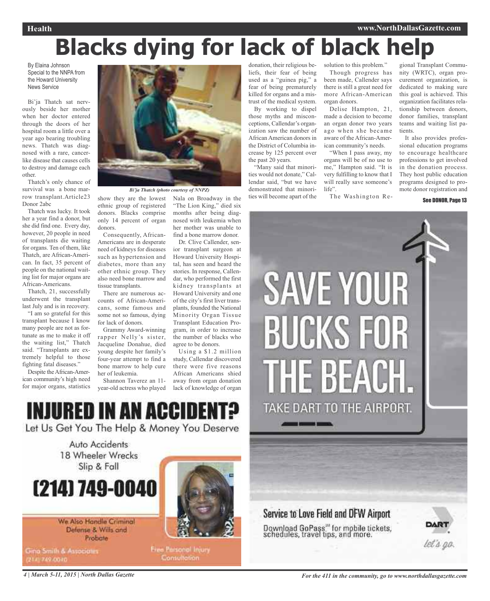# **Blacks dying for lack of black help**

By Elaina Johnson Special to the NNPA from the Howard University News Service

Bi'ja Thatch sat nervously beside her mother when her doctor entered through the doors of her hospital room a little over a year ago bearing troubling news. Thatch was diagnosed with a rare, cancerlike disease that causes cells to destroy and damage each other.

Thatch's only chance of survival was a bone marrow transplant.Article23 Donor 2abc

Thatch was lucky. It took her a year find a donor, but she did find one. Every day, however, 20 people in need of transplants die waiting for organs. Ten of them, like Thatch, are African-American. In fact, 35 percent of people on the national waiting list for major organs are African-Americans.

Thatch, 21, successfully underwent the transplant last July and is in recovery.

"I am so grateful for this transplant because I know many people are not as fortunate as me to make it off the waiting list," Thatch said. "Transplants are extremely helpful to those fighting fatal diseases."

Despite theAfrican-American community's high need for major organs, statistics



*Bi'ja Thatch (photo courtesy of NNPZ)*

show they are the lowest ethnic group of registered donors. Blacks comprise only 14 percent of organ donors.

Consequently, African-Americans are in desperate need of kidneys for diseases such as hypertension and diabetes, more than any other ethnic group. They also need bone marrow and tissue transplants.

There are numerous accounts of African-Americans, some famous and some not so famous, dying for lack of donors.

Grammy Award-winning rapper Nelly's sister, Jacqueline Donahue, died young despite her family's four-year attempt to find a bone marrow to help cure her of leukemia.

Shannon Taverez an 11 year-old actress who played Nala on Broadway in the "The Lion King," died six months after being diagnosed with leukemia when her mother was unable to find a bone marrow donor.

Dr. Clive Callender, senior transplant surgeon at Howard University Hospital, has seen and heard the stories. In response, Callendar, who performed the first kidney transplants at Howard University and one of the city's first liver transplants, founded the National Minority Organ Tissue Transplant Education Program, in order to increase the number of blacks who agree to be donors.

Using a \$1.2 million study, Callendar discovered there were five reasons African Americans shied away from organ donation lack of knowledge of organ

# **INJURED IN AN ACCIDEN**

Let Us Get You The Help & Money You Deserve

Auto Accidents 18 Wheeler Wrecks Slip & Fall

# (214) 749-0040

We Also Handle Criminal Defense & Wills and Probate

Gino Smith & Associates (214) 749-0040



Free Paisonal Injury Consultation:

donation, their religious beliefs, their fear of being used as a "guinea pig," a fear of being prematurely killed for organs and a mistrust of the medical system.

By working to dispel those myths and misconceptions, Callendar's organization saw the number of African American donors in the District of Columbia increase by 125 percent over the past 20 years.

"Many said that minorities would not donate," Callendar said, "but we have demonstrated that minorities will become apart of the

solution to this problem." Though progress has been made, Callender says there is still a great need for more African-American organ donors.

Delise Hampton, 21, made a decision to become an organ donor two years ago when she became aware of the African-American community's needs.

"When I pass away, my organs will be of no use to me," Hampton said. "It is very fulfilling to know that I will really save someone's life"

The Washington Re-

gional Transplant Community (WRTC), organ procurement organization, is dedicated to making sure this goal is achieved. This organization facilitates relationship between donors, donor families, transplant teams and waiting list patients.

It also provides professional education programs to encourage healthcare professions to get involved in the donation process. They host public education programs designed to promote donor registration and





4 | March 5-11, 2015 | North Dallas Gazette com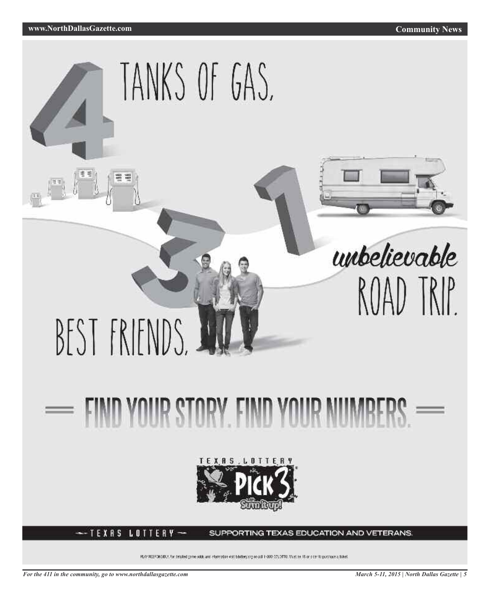



unbelievable ROAD TRIP

# BEST FRIENDS.

 $=$  FIND YOUR STORY. FIND YOUR NUMBERS,



-TEXAS LOTTERY

SUPPORTING TEXAS EDUCATION AND VETERANS.

PLAY RESPONDERLY. For detailed goine odds area internation wait tuloders) argue on 3 (-000-371.07TM, Wastley, 15 or o der fit paramase a dated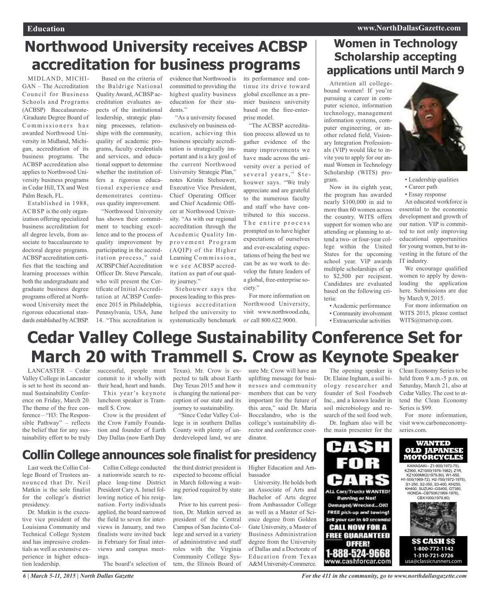# **Northwood University receives ACBSP accreditation for business programs**

MIDLAND, MICHI-GAN – The Accreditation Council for Business Schools and Programs (ACBSP) Baccalaureate- /Graduate Degree Board of Commissioners has awarded Northwood University in Midland, Michigan, accreditation of its business programs. The ACBSP accreditation also applies to Northwood University business programs in Cedar Hill, TX and West Palm Beach, FL.

Established in 1988, ACBSP is the only organization offering specialized business accreditation for all degree levels, from associate to baccalaureate to doctoral degree programs. ACBSP accreditation certifies that the teaching and learning processes within both the undergraduate and graduate business degree programs offered at Northwood University meet the rigorous educational standards established byACBSP.

the Baldrige National Quality Award, ACBSP accreditation evaluates aspects of the institutional leadership, strategic planning processes, relationships with the community, quality of academic programs, faculty credentials and services, and educational support to determine whether the institution offers a rigorous educational experience and demonstrates continuous quality improvement.

"Northwood University has shown their commitment to teaching excellence and to the process of quality improvement by participating in the accreditation process," said ACBSPChiefAccreditation Officer Dr. Steve Parscale, who will present the Certificate of Initial Accreditation at ACBSP Conference 2015 in Philadelphia, Pennsylvania, USA, June 14. "This accreditation is

Based on the criteria of evidence that Northwood is committed to providing the highest quality business education for their students<sup>"</sup>

> "As a university focused exclusively on business education, achieving this business specialty accreditation is strategically important and is a key goal of the current Northwood University Strategic Plan," notes Kristin Stehouwer, Executive Vice President, Chief Operating Officer and Chief Academic Officer at Northwood University. "As with our regional accreditation through the Academic Quality Improvement Program (AQIP) of the Higher Learning Commission, we see ACBSP accreditation as part of our quality journey."

Stehouwer says the processleading to this prestigious accreditation helped the university to systematically benchmark

its performance and continue its drive toward global excellence as a premier business university based on the free-enterprise model.

"The ACBSP accreditation process allowed us to gather evidence of the many improvements we have made across the university over a period of several years," Stehouwer says. "We truly appreciate and are grateful to the numerous faculty and staff who have contributed to this success. The entire process prompted us to have higher expectations of ourselves and ever-escalating expectations of being the best we can be as we work to develop the future leaders of a global, free-enterprise society."

For more information on Northwood University, visit www.northwood.edu, or call 800.622.9000.

### **Women in Technology Scholarship accepting applications until March 9**

Attention all collegebound women! If you're pursuing a career in computer science, information technology, management information systems, computer engineering, or another related field, Visionary Integration Professionals (VIP) would like to invite you to apply for our annual Women in Technology Scholarship (WITS) program.

Now in its eighth year, the program has awarded nearly \$100,000 in aid to more than 60 women across the country. WITS offers support for women who are attending or planning to attend a two- or four-year college within the United States for the upcoming school year. VIP awards multiple scholarships of up to \$2,500 per recipient. Candidates are evaluated based on the following criteria:

• Academic performance • Community involvement • Extracurricular activities



- Leadership qualities
- Career path
- Essay response

An educated workforce is essential to the economic development and growth of our nation. VIP is committed to not only improving educational opportunities for young women, but to investing in the future of the IT industry.

We encourage qualified women to apply by downloading the application here. Submissions are due by March 9, 2015.

For more information on WITS 2015, please contact WITS@trustvip.com.

# **Cedar Valley College Sustainability Conference Set for March 20 with Trammell S. Crow as Keynote Speaker**

LANCASTER – Cedar Valley College in Lancaster is set to host its second annual Sustainability Conference on Friday, March 20. The theme of the free conference – "H3: The Responsible Pathway" – reflects the belief that for any sustainability effort to be truly

successful, people must commit to it wholly with their head, heart and hands. This year's keynote

luncheon speaker is Tram-

mell S. Crow. Crow is the president of the Crow Family Foundation and founder of Earth Day Dallas (now Earth Day

Texas). Mr. Crow is expected to talk about Earth Day Texas 2015 and how it is changing the national perception of our state and its journey to sustainability.

"Since Cedar Valley College is in southern Dallas County with plenty of underdeveloped land, we are sure Mr. Crow will have an uplifting message for businesses and community members that can be very important for the future of this area," said Dr. Maria Boccalandro, who is the college's sustainability director and conference coordinator.

The opening speaker is Dr. Elaine Ingham, a soil biology researcher and founder of Soil Foodweb Inc., and a known leader in soil microbiology and research of the soil food web.

Dr. Ingham also will be the main presenter for the



For more information, visit www.carboneconomyseries.com.



# **Collin College announces sole finalist for presidency**

Last week the Collin College Board of Trustees announced that Dr. Neil Matkin is the sole finalist for the college's district presidency.

Dr. Matkin is the executive vice president of the Louisiana Community and Technical College System and has impressive credentials as well as extensive experience in higher education leadership.

Collin College conducted a nationwide search to replace long-time District President Cary A. Israel following notice of his resignation. Forty individuals applied, the board narrowed the field to seven for interviews in January, and two finalists were invited back in February for final interviews and campus meetings.

The board's selection of

the third district president is expected to become official in March following a waiting period required by state law.

Prior to his current position, Dr. Matkin served as president of the Central Campus of San Jacinto College and served in a variety of administrative and staff roles with the Virginia Community College System, the Illinois Board of

Higher Education and Ambassador University. He holds both an Associate of Arts and Bachelor of Arts degree from Ambassador College as well as a Master of Science degree from Golden Gate University, a Master of Business Administration degree from the University of Dallas and a Doctorate of Education from Texas A&M University-Commerce.

*6 | March 5-11, 2015 | North Dallas Gazette*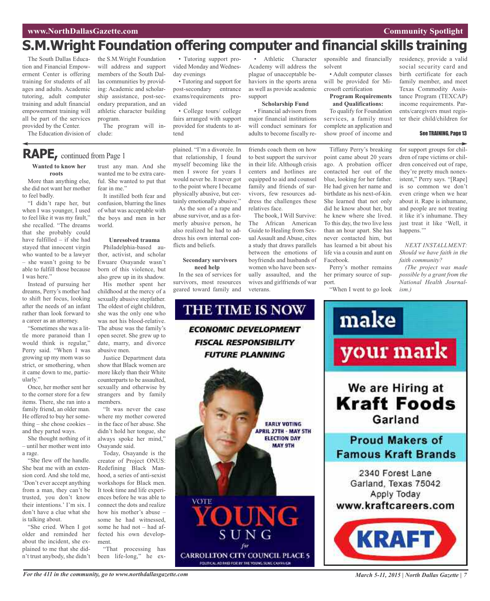#### **www.NorthDallasGazette.com Community** Spotlight

# **S.M.Wright Foundation offering computer and financial skills training**

support

friends coach them on how to best support the survivor in their life. Although crisis centers and hotlines are equipped to aid and counsel family and friends of survivors, few resources address the challenges these

haviors in the sports arena as well as provide academic

**Scholarship Fund** • Financial advisors from major financial institutions will conduct seminars for adults to become fiscally re-

The book, I Will Survive: The African American Guide to Healing from Sexual Assault and Abuse, cites a study that draws parallels between the emotions of boyfriends and husbands of women who have been sexually assaulted, and the wives and girlfriends of war

relatives face.

veterans.

The South Dallas Education and Financial Empowerment Center is offering training for students of all ages and adults. Academic tutoring, adult computer training and adult financial empowerment training will all be part of the services provided by the Center.

The Education division of

**Wanted to know her RAPE,** continued from Page <sup>1</sup>

#### **roots** More than anything else,

she did not want her mother to feel badly.

"I didn't rape her, but when I was younger, I used to feel like it was my fault," she recalled. "The dreams that she probably could have fulfilled – if she had stayed that innocent virgin who wanted to be a lawyer – she wasn't going to be able to fulfill those because I was here."

Instead of pursuing her dreams, Perry's mother had to shift her focus, looking after the needs of an infant rather than look forward to a career as an attorney.

"Sometimes she was a little more paranoid than I would think is regular," Perry said. "When I was growing up my mom was so strict, or smothering, when it came down to me, particularly."

Once, her mother sent her to the corner store for a few items. There, she ran into a family friend, an older man. He offered to buy her something – she chose cookies – and they parted ways.

She thought nothing of it – until her mother went into a rage.

"She flew off the handle. She beat me with an extension cord. And she told me, 'Don't ever accept anything from a man, they can't be trusted, you don't know their intentions.' I'm six. I don't have a clue what she is talking about.

"She cried. When I got older and reminded her about the incident, she explained to me that she didn't trust anybody, she didn't

trust any man. And she wanted me to be extra careful. She wanted to put that fear in me."

The program will in-

the S.M.Wright Foundation will address and support members of the South Dallas communities by providing: Academic and scholarship assistance, post-secondary preparation, and an athletic character building

program.

clude:

It instilled both fear and confusion, blurring the lines of what was acceptable with the boys and men in her world.

#### **Unresolved trauma**

Philadelphia-based author, activist, and scholar Ewuare Osayande wasn't born of this violence, but also grew up in its shadow.

His mother spent her childhood at the mercy of a sexually abusive stepfather. The oldest of eight children, she was the only one who was not his blood-relative. The abuse was the family's open secret. She grew up to date, marry, and divorce abusive men.

Justice Department data show that Black women are more likely than their White counterparts to be assaulted, sexually and otherwise by strangers and by family members.

"It was never the case where my mother cowered in the face of her abuse. She didn't hold her tongue, she always spoke her mind," Osayande said.

Today, Osayande is the creator of Project ONUS: Redefining Black Manhood, a series of anti-sexist workshops for Black men. It took time and life experiences before he was able to connect the dots and realize how his mother's abuse – some he had witnessed, some he had not – had affected his own development.

"That processing has been life-long," he ex-

• Tutoring support provided Monday and Wednesday evenings

• Tutoring and support for post-secondary entrance exams/requirements provided

• College tours/ college fairs arranged with support provided for students to attend

plained. "I'm a divorcée. In that relationship, I found myself becoming like the men I swore for years I would never be. It never got to the point where I became physically abusive, but certainly emotionally abusive."

As the son of a rape and abuse survivor, and as a formerly abusive person, he also realized he had to address his own internal conflicts and beliefs.

#### **Secondary survivors need help**

In the sea of services for survivors, most resources geared toward family and



• Athletic Character Academy will address the plague of unacceptable besponsible and financially solvent

• Adult computer classes will be provided for Microsoft certification

#### **Program Requirements and Qualifications:**

To qualify for Foundation services, a family must complete an application and show proof of income and

Tiffany Perry's breaking point came about 20 years ago. A probation officer contacted her out of the blue, looking for her father. He had given her name and birthdate as his next-of-kin. She learned that not only did he know about her, but he knew where she lived. To this day, the two live less than an hour apart. She has never contacted him, but has learned a bit about his life via a cousin and aunt on Facebook.

Perry's mother remains her primary source of support.

"When I went to go look

residency, provide a valid social security card and birth certificate for each family member, and meet Texas Commodity Assistance Program (TEXCAP) income requirements. Parents/caregivers must register their child/children for

#### See TRAINING, Page 13

for support groups for children of rape victims or children conceived out of rape, they're pretty much nonexistent," Perry says. "[Rape] is so common we don't even cringe when we hear about it. Rape is inhumane, and people are not treating it like it's inhumane. They just treat it like 'Well, it happens."

*NEXT INSTALLMENT: Should we have faith in the faith community?*

*(The project was made possible by a grant from the National Health Journalism.)*

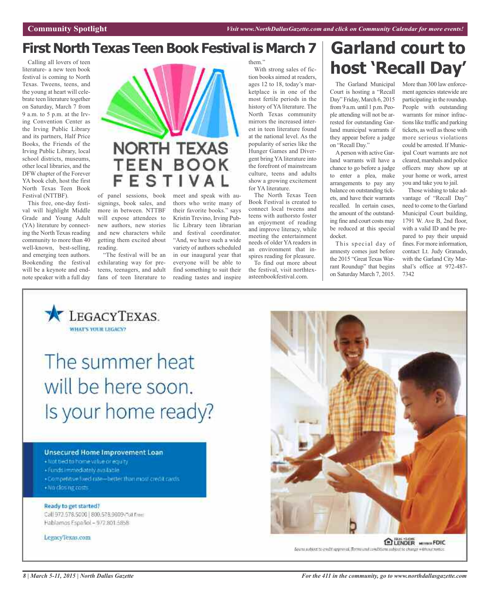# **First North Texas Teen Book Festival is March 7**

Calling all lovers of teen literature- a new teen book festival is coming to North Texas. Tweens, teens, and the young at heart will celebrate teen literature together on Saturday, March 7 from 9 a.m. to 5 p.m. at the Irving Convention Center as the Irving Public Library and its partners, Half Price Books, the Friends of the Irving Public Library, local school districts, museums, other local libraries, and the DFW chapter of the Forever YA book club, host the first North Texas Teen Book Festival (NTTBF).

This free, one-day festival will highlight Middle Grade and Young Adult (YA) literature by connecting the North Texas reading community to more than 40 well-known, best-selling, and emerging teen authors. Bookending the festival will be a keynote and endnote speaker with a full day



of panel sessions, book signings, book sales, and more in between. NTTBF will expose attendees to new authors, new stories and new characters while getting them excited about reading.

"The festival will be an exhilarating way for preteens, teenagers, and adult fans of teen literature to



them."

With strong sales of fiction books aimed at readers, ages 12 to 18, today's marketplace is in one of the most fertile periods in the history of YA literature. The North Texas community mirrors the increased interest in teen literature found at the national level. As the popularity of series like the Hunger Games and Divergent bring YA literature into the forefront of mainstream culture, teens and adults show a growing excitement for YA literature.

The North Texas Teen Book Festival is created to connect local tweens and teens with authorsto foster an enjoyment of reading and improve literacy, while meeting the entertainment needs of older YA readers in an environment that inspires reading for pleasure. To find out more about

the festival, visit northtexasteenbookfestival.com.

# **Garland court to host 'Recall Day'**

The Garland Municipal Court is hosting a "Recall Day" Friday, March 6, 2015 from 9 a.m. until 1 p.m. People attending will not be arrested for outstanding Garland municipal warrants if they appear before a judge on "Recall Day."

Aperson with active Garland warrants will have a chance to go before a judge to enter a plea, make arrangements to pay any balance on outstanding tickets, and have their warrants recalled. In certain cases, the amount of the outstanding fine and court costs may be reduced at this special docket.

This special day of amnesty comes just before the 2015 "Great Texas Warrant Roundup" that begins on Saturday March 7, 2015.

More than 300 law enforcement agencies statewide are participating in the roundup. People with outstanding warrants for minor infractions like traffic and parking tickets, as well as those with more serious violations could be arrested. If Municipal Court warrants are not cleared, marshals and police officers may show up at your home or work, arrest you and take you to jail.

Those wishing to take advantage of "Recall Day" need to come to the Garland Municipal Court building, 1791 W. Ave B, 2nd floor, with a valid ID and be prepared to pay their unpaid fines. For more information, contact Lt. Judy Granado, with the Garland City Marshal's office at 972-487- 7342



# The summer heat will be here soon. Is your home ready?

#### **Unsecured Home Improvement Loan**

- · Not tied to home value or equity
- · Funds immediately available.
- . Competitive fixed rate-inerter than most credit rards
- · No closing costs

#### Ready to get started?

Call 972.578.5000 | 800.578;9009 (Foll Free) Hablamos Español - 972.801.5858

LegacyTexas.com



ELENDER MEYANT FDIC Loans subject to credit approval. Terms and conditions subject to change without notice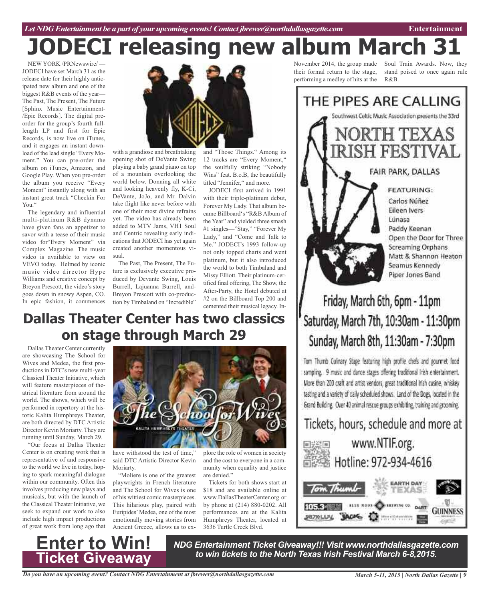**DECI** releasing new album

NEW YORK /PRNewswire/ — JODECI have set March 31 as the release date for their highly anticipated new album and one of the biggest R&B events of the year— The Past, The Present, The Future [Sphinx Music Entertainment- /Epic Records]. The digital preorder for the group's fourth fulllength LP and first for Epic Records, is now live on iTunes, and it engages an instant download of the lead single "Every Moment." You can pre-order the album on iTunes, Amazon, and Google Play. When you pre-order the album you receive "Every Moment" instantly along with an instant great track "Checkin For You."

The legendary and influential multi-platinum R&B dynamo have given fans an appetizer to savor with a tease of their music video for"Every Moment" via Complex Magazine. The music video is available to view on VEVO today. Helmed by iconic music video director Hype Williams and creative concept by Breyon Prescott, the video's story goes down in snowy Aspen, CO. In epic fashion, it commences



with a grandiose and breathtaking opening shot of DeVante Swing playing a baby grand piano on top of a mountain overlooking the world below. Donning all white and looking heavenly fly, K-Ci, DeVante, JoJo, and Mr. Dalvin take flight like never before with one of their most divine refrains yet. The video has already been added to MTV Jams, VH1 Soul and Centric revealing early indications that JODECI has yet again created another momentous visual.

The Past, The Present, The Future is exclusively executive produced by Devante Swing, Louis Burrell, Lajuanna Burrell, and-Breyon Prescott with co-production by Timbaland on "Incredible"

and "Those Things." Among its 12 tracks are "Every Moment," the soulfully striking "Nobody Wins" feat. B.o.B, the beautifully titled "Jennifer," and more.

JODECI first arrived in 1991 with their triple-platinum debut, Forever My Lady. That album became Billboard's "R&B Album of the Year" and yielded three smash #1 singles—"Stay," "Forever My Lady," and "Come and Talk to Me." JODECI's 1993 follow-up not only topped charts and went platinum, but it also introduced the world to both Timbaland and Missy Elliott. Their platinum-certified final offering, The Show, the After-Party, the Hotel debuted at #2 on the Billboard Top 200 and cemented their musical legacy. In-

# **Dallas Theater Center has two classics on stage through March 29**

Dallas Theater Center currently are showcasing The School for Wives and Medea, the first productions in DTC's new multi-year Classical Theater Initiative, which will feature masterpieces of theatrical literature from around the world. The shows, which will be performed in repertory at the historic Kalita Humphreys Theater, are both directed by DTC Artistic Director Kevin Moriarty. They are running until Sunday, March 29.

"Our focus at Dallas Theater Center is on creating work that is representative of and responsive to the world we live in today, hoping to spark meaningful dialogue within our community. Often this involves producing new plays and musicals, but with the launch of the Classical Theater Initiative, we seek to expand our work to also include high impact productions of great work from long ago that



have withstood the test of time," said DTC Artistic Director Kevin Moriarty.

"Moliere is one of the greatest playwrights in French literature and The School for Wives is one of his wittiest comic masterpieces. This hilarious play, paired with Euripides'Medea, one of the most emotionally moving stories from Ancient Greece, allows us to explore the role of women in society and the cost to everyone in a community when equality and justice are denied."

Tickets for both shows start at \$18 and are available online at www.DallasTheaterCenter.org or by phone at (214) 880-0202. All performances are at the Kalita Humphreys Theater, located at 3636 Turtle Creek Blvd.

November 2014, the group made their formal return to the stage, performing a medley of hits at the

Soul Train Awards. Now, they stand poised to once again rule R&B.



# Friday, March 6th, 6pm - 11pm Saturday, March 7th, 10:30am - 11:30pm Sunday, March 8th, 11:30am - 7:30pm

Tom Thumb Culinary Stage featuring high profile chefs and gourmet food sampling. 9 music and dance stages offering traditional Irish entertainment. More than 200 craft and artist vendors, great traditional Irish cusine, whiskey tasting and a variety of cally scheduled shows. Land of the Dogs, located in the Grand Building. Over 40 animal rescue groups exhibiting, training and grooming.

# Tickets, hours, schedule and more at www.NTIF.org.

※ Hotline: 972-934-4616



**Ticket Giveaway**

*NDG Entertainment Ticket Giveaway!!! Visit www.northdallasgazette.com to win tickets to the North Texas Irish Festival March 6-8,2015.* **Enter to Win!**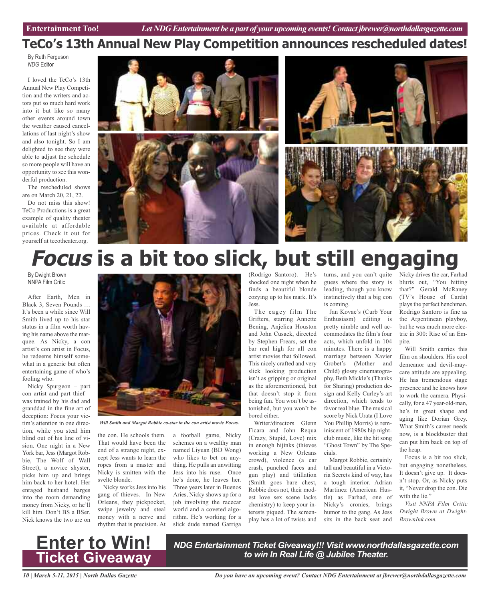# **TeCo's 13th Annual New Play Competition announces rescheduled dates!**

By Ruth Ferguson *NDG* Editor

I loved the TeCo's 13th Annual New Play Competition and the writers and actors put so much hard work into it but like so many other events around town the weather caused cancellations of last night's show and also tonight. So I am delighted to see they were able to adjust the schedule so more people will have an opportunity to see this wonderful production.

The rescheduled shows are on March 20, 21, 22.

Do not miss this show! TeCo Productions is a great example of quality theater available at affordable prices. Check it out for yourself at tecotheater.org.



# **Focus is a bit too slick, but still engaging**

By Dwight Brown NNPA Film Critic

After Earth, Men in Black 3, Seven Pounds … It's been a while since Will Smith lived up to his star status in a film worth having his name above the marquee. As Nicky, a con artist's con artist in Focus, he redeems himself somewhat in a generic but often entertaining game of who's fooling who.

Nicky Spurgeon – part con artist and part thief – was trained by his dad and granddad in the fine art of deception: Focus your victim's attention in one direction, while you steal him blind out of his line of vision. One night in a New York bar, Jess (Margot Robbie, The Wolf of Wall Street), a novice shyster, picks him up and brings him back to her hotel. Her enraged husband barges into the room demanding money from Nicky, or he'll kill him. Don't BS a BSer. Nick knows the two are on



*Will Smith and Margot Robbie co-star in the con artist movie Focus.*

the con. He schools them. That would have been the end of a strange night, except Jess wants to learn the ropes from a master and Nicky is smitten with the svelte blonde.

Nicky works Jess into his gang of thieves. In New Orleans, they pickpocket, swipe jewelry and steal money with a nerve and rhythm that is precision. At

a football game, Nicky schemes on a wealthy man named Liyuan (BD Wong) who likes to bet on anything. He pulls an unwitting Jess into his ruse. Once he's done, he leaves her. Three years later in Buenos Aries, Nicky shows up for a job involving the racecar world and a coveted algorithm. He's working for a slick dude named Garriga

(Rodrigo Santoro). He's turns, and you can't quite Nicky drives the car, Farhad shocked one night when he finds a beautiful blonde cozying up to his mark. It's Jess.

The cagey film The Grifters, starring Annette Bening, Anjelica Houston and John Cusack, directed by Stephen Frears, set the bar real high for all con artist movies that followed. This nicely crafted and very slick looking production isn't as gripping or original as the aforementioned, but that doesn't stop it from being fun. You won't be astonished, but you won't be bored either.

Writer/directors Glenn Ficara and John Requa (Crazy, Stupid, Love) mix in enough hijinks (thieves working a New Orleans crowd), violence (a car crash, punched faces and gun play) and titillation (Smith goes bare chest, Robbie does not, their modest love sex scene lacks chemistry) to keep your interests piqued. The screenplay has a lot of twists and

guess where the story is leading, though you know instinctively that a big con is coming.

Jan Kovac's (Curb Your Enthusiasm) editing is pretty nimble and well accommodates the film's four acts, which unfold in 104 minutes. There is a happy marriage between Xavier Grobet's (Mother and Child) glossy cinematography, Beth Mickle's (Thanks for Sharing) production design and Kelly Curley's art direction, which tends to favor teal blue. The musical score by Nick Urata (I Love You Phillip Morris) is reminiscent of 1980s hip nightclub music, like the hit song "Ghost Town" by The Specials.

Margot Robbie, certainly tall and beautiful in a Victoria Secrets kind of way, has a tough interior. Adrian Martinez (American Hustle) as Farhad, one of Nicky's cronies, brings humor to the gang. As Jess sits in the back seat and

blurts out, "You hitting that?" Gerald McRaney (TV's House of Cards) plays the perfect henchman. Rodrigo Santoro is fine as the Argentinean playboy, but he was much more electric in 300: Rise of an Empire.

Will Smith carries this film on shoulders. His cool demeanor and devil-maycare attitude are appealing. He has tremendous stage presence and he knows how to work the camera. Physically, for a 47 year-old-man, he's in great shape and aging like Dorian Grey. What Smith's career needs now, is a blockbuster that can put him back on top of the heap.

Focus is a bit too slick, but engaging nonetheless. It doesn't give up. It doesn't stop. Or, as Nicky puts it, "Never drop the con. Die with the lie."

*Visit NNPA Film Critic Dwight Brown at Dwight-BrownInk.com.*



*NDG Entertainment Ticket Giveaway!!! Visit www.northdallasgazette.com* **k** *to**Win! NDG Entertainment Ticket Giveaway!!! Visit www.north*<br>Ticket Giveaway

*10 | March 5-11, 2015 | North Dallas Gazette*

*Do you have an upcoming event? Contact NDG Entertainment at jbrewer@northdallasgazette.com*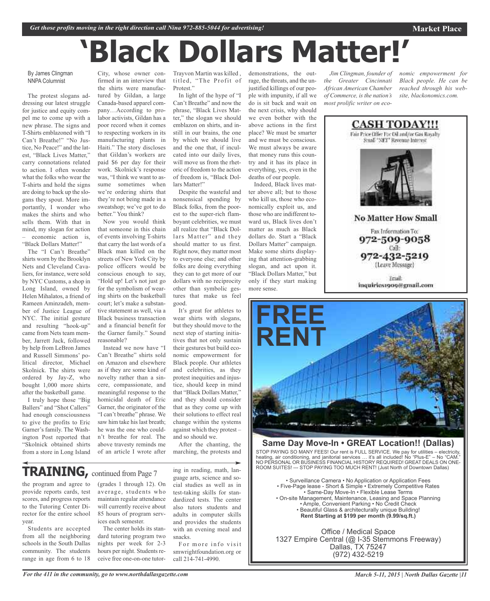# **'Black Dollars Matter!'**

#### By James Clingman NNPA Columnist

The protest slogans addressing our latest struggle for justice and equity compel me to come up with a new phrase. The signs and T-Shirts emblazoned with "I Can't Breathe!" "No Justice, No Peace!" and the latest, "Black Lives Matter," carry connotations related to action. I often wonder what the folks who wear the T-shirts and hold the signs are doing to back up the slogans they spout. More importantly, I wonder who makes the shirts and who sells them. With that in mind, my slogan for action economic action is,

"Black Dollars Matter!"

The "I Can't Breathe" shirts worn by the Brooklyn Nets and Cleveland Cavaliers, for instance, were sold by NYC Customs, a shop in Long Island, owned by Helen Mihalatos, a friend of Rameen Aminzadeh, member of Justice League of NYC. The initial gesture and resulting "hook-up" came from Nets team member, Jarrett Jack, followed by help from LeBron James and Russell Simmons' political director, Michael Skolnick. The shirts were ordered by Jay-Z, who bought 1,000 more shirts after the basketball game.

I truly hope those "Big Ballers" and "Shot Callers" had enough consciousness to give the profits to Eric Garner's family. The Washington Post reported that "Skolnick obtained shirts from a store in Long Island

City, whose owner confirmed in an interview that the shirts were manufactured by Gildan, a large Canada-based apparel company…According to prolabor activists, Gildan has a poor record when it comes to respecting workers in its manufacturing plants in Haiti." The story discloses that Gildan's workers are paid \$6 per day for their work. Skolnick's response was, "I think we want to assume sometimes when we're ordering shirts that they're not being made in a sweatshop; we've got to do better." You think?

Now you would think that someone in this chain of events involving T-shirts that carry the last words of a Black man killed on the streets of New York City by police officers would be conscious enough to say, "Hold up! Let's not just go for the symbolism of wearing shirts on the basketball court; let's make a substantive statement as well, via a Black business transaction and a financial benefit for the Garner family." Sound reasonable?

Instead we now have "I Can't Breathe" shirts sold on Amazon and elsewhere as if they are some kind of novelty rather than a sincere, compassionate, and meaningful response to the homicidal death of Eric Garner, the originator of the "I can't breathe" phrase. We saw him take his last breath; he was the one who couldn't breathe for real. The above travesty reminds me of an article I wrote after

Trayvon Martin was killed , titled, "The Profit of Protest.'

In light of the hype of "I Can't Breathe" and now the phrase, "Black Lives Matter," the slogan we should emblazon on shirts, and instill in our brains, the one by which we should live and the one that, if inculcated into our daily lives, will move us from the rhetoric of freedom to the action of freedom is, "Black Dollars Matter!"

Despite the wasteful and nonsensical spending by Black folks, from the poorest to the super-rich flamboyant celebrities, we must all realize that "Black Dollars Matter" and they should matter to us first. Right now, they matter most to everyone else; and other folks are doing everything they can to get more of our dollars with no reciprocity other than symbolic gestures that make us feel good.

It's great for athletes to wear shirts with slogans, but they should move to the next step of starting initiatives that not only sustain their gestures but build economic empowerment for Black people. Our athletes and celebrities, as they protest inequities and injustice, should keep in mind that "Black Dollars Matter," and they should consider that as they come up with their solutions to effect real change within the systems against which they protest – and so should we.

After the chanting, the marching, the protests and

# **TRAINING,** continued from Page <sup>7</sup>

the program and agree to provide reports cards, test scores, and progress reports to the Tutoring Center Director for the entire school year.

Students are accepted from all the neighboring schools in the South Dallas community. The students range in age from 6 to 18

(grades 1 through 12). On average, students who maintain regular attendance will currently receive about 85 hours of program services each semester.

The center holds its standard tutoring program two nights per week for 2-3 hours per night. Students receive free one-on-one tutor-

ing in reading, math, language arts, science and social studies as well as in test-taking skills for standardized tests. The center also tutors students and adults in computer skills and provides the students with an evening meal and snacks.

For more info visit smwrightfoundation.org or call 214-741-4990.

demonstrations, the outrage, the threats, and the unjustified killings of our people with impunity, if all we do is sit back and wait on the next crisis, why should we even bother with the above actions in the first place? We must be smarter and we must be conscious. We must always be aware that money runs this country and it has its place in everything, yes, even in the deaths of our people.

Indeed, Black lives matter above all; but to those who kill us, those who economically exploit us, and those who are indifferent toward us, Black lives don't matter as much as Black dollars do. Start a "Black Dollars Matter" campaign. Make some shirts displaying that attention-grabbing slogan, and act upon it. "Black Dollars Matter," but only if they start making more sense.

*Jim Clingman, founder of the Greater Cincinnati African American Chamber of Commerce, is the nation's most prolific writer on eco-*

*nomic empowerment for Black people. He can be reached through his website, blackonomics.com.*





#### **Same Day Move-In • GREAT Location!! (Dallas)**

STOP PAYING SO MANY FEES! Our rent is FULL SERVICE. We pay for utilities – electricity, heating, air conditioning, and janitorial services … it's all included! No "Plus-E" – No "CAM." NO PERSONAL OR BUSINESS FINANCIAL HISTORY REQUIRED! GREAT DEALS ON ONE-ROOM SUITES! --- STOP PAYING TOO MUCH RENT! (Just North of Downtown Dallas)

• Surveillance Camera • No Application or Application Fees • Five-Page lease - Short & Simple • Extremely Competitive Rates • Same-Day Move-In • Flexible Lease Terms • On-site Management, Maintenance, Leasing and Space Planning • Ample, Convenient Parking • No Credit Check • Beautiful Glass & architecturally unique Building! **Rent Starting at \$199 per month (9.99/sq.ft.)**

Office / Medical Space 1327 Empire Central (@ I-35 Stemmons Freeway) Dallas, TX 75247 (972) 432-5219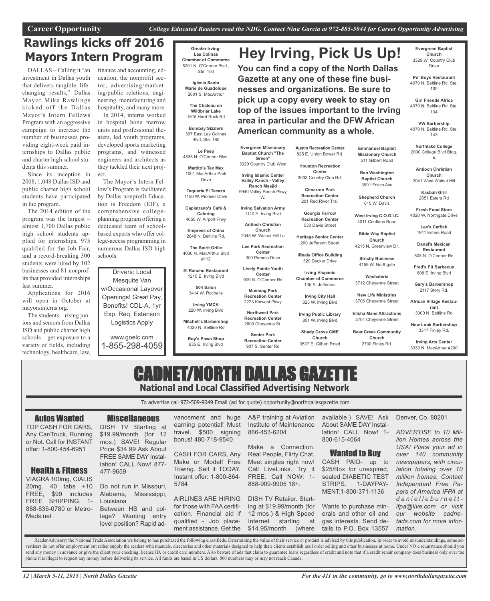**Hey Irving, Pick Us Up!**

**You can find a copy of the North Dallas Gazette at any one of these fine businesses and organizations. Be sure to pick up a copy every week to stay on top of the issues important to the Irving area in particular and the DFW African**

# **Rawlings kicks off 2016 Mayors Intern Program**

DALLAS – Calling it "an investment in Dallas youth that delivers tangible, lifechanging results," Dallas Mayor Mike Rawlings kicked off the Dallas Mayor's Intern Fellows Program with an aggressive campaign to increase the number of businesses providing eight-week paid internships to Dallas public and charter high school students this summer.

Since its inception in 2008, 1,048 Dallas ISD and public charter high school students have participated in the program.

The 2014 edition of the program was the largest – almost 1,700 Dallas public high school students applied for internships, 975 qualified for the Job Fair, and a record-breaking 300 students were hired by 102 businesses and 81 nonprofits that provided internships last summer.

Applications for 2016 will open in October at mayorsinterns.org.

The students – rising juniors and seniors from Dallas ISD and public charter high schools – get exposure to a variety of fields, including technology, healthcare, law,

finance and accounting, education, the nonprofit sector, advertising/marketing/public relations, engineering, manufacturing and hospitality, and many more.

In 2014, interns worked in hospital bone marrow units and professional theaters, led youth programs, developed sports marketing programs, and witnessed engineers and architects as they tackled their next project.

The Mayor's Intern Fellow's Program is facilitated by Dallas nonprofit Education is Freedom (EIF), a comprehensive collegeplanning program offering a dedicated team of schoolbased experts who offer college-access programming in numerous Dallas ISD high schools.

Drivers: Local Mesquite Van w/Occasional Layover Openings! Great Pay, Benefits! CDL-A, 1yr Exp. Req. Estenson Logistics Apply

www.goelc.com 1-855-298-4059

**Greater Irving-Las Colinas Chamber of Commerce** 5201 N. O'Connor Blvd.,

**Iglesia Santa Marie de Guadolupe** 2601 S. MacArthur

**The Chateau on Wildbriar Lake** 1515 Hard Rock Rd

397 East Las Colinas Blvd, Ste. 180

4835 N. O'Connor Blvd.

Drive

1150 W. Pioneer Drive

**Capistrano's Café & Catering** 4650 W. Airport Frwy

**Empress of China** 2648 N. Beltline Rd.

**The Spirit Grille** 4030 N. MacArthur Blvd #112

**El Rancho Restaurant** 1210 E. Irving Blvd

**504 Salon** 3414 W. Rochelle

**Irving YMCA** 220 W. Irving Blvd

**Mitchell's Barbershop** 4020 N. Beltline Rd

**Roy's Pawn Shop** 635 E. Irving Blvd

Ste. 100

**Bombay Sizzlers**

**Le Peep**

**Mattito's Tex Mex** 1001 MacArthur Park

**Taqueria El Tacazo**

**Irving Salvation Army** 1140 E. Irving Blvd

> **Antioch Christian Church** 2043 W. Walnut Hill Ln

> > **Lee Park Recreation Center** 300 Pamela Drive

**Evergreen Missionary Baptist Church "The Green"** 3329 Country Club West **Irving Islamic Center Valley Ranch - Valley Ranch Masjid** 9940 Valley Ranch Pkwy W.

**Lively Pointe Youth Center** 909 N. O'Connor Rd

**Mustang Park Recreation Center** 2223 Kinwest Pkwy

**Northwest Park Recreation Center**

2800 Cheyenne St. **Senter Park**

**Recreation Center** 907 S. Senter Rd

**Austin Recreation Center** 825 E. Union Bower Rd.

**American community as a whole.**

**Houston Recreation Center** 3033 Country Club Rd.

**Cimarron Park**

201 Red River Trail **Georgia Farrow**

**Recreation Center**

**Heritage Senior Center** 200 Jefferson Street

**iRealy Office Building** 320 Decker Drive

825 W. Irving Blvd

**Irving Public Library**

**Shady Grove CME Church**

**Emmanuel Baptist Missionary Church** 511 Gilbert Road **Ben Washington Baptist Church** 3901 Frisco Ave **Shepherd Church** 615 W. Davis **West Irving C.O.G.I.C.** 4011 Conflans Road **Bible Way Baptist Church** 4215 N. Greenview Dr.

**Strictly Business** 4159 W. Northgate **Washateria** 3712 Cheyenne Street **New Life Ministries** 3706 Cheyenne Street **Elisha Mane Attractions** 3704 Cheyenne Street **Bear Creek Community Church** 2700 Finley Rd.

**Recreation Center**

530 Davis Street

**Irving Hispanic Chamber of Commerce** 135 S. Jefferson

**Irving City Hall**

801 W. Irving Blvd

3537 E. Gilbert Road

**Evergreen Baptist Church** 3329 W. Country Club Drive

**Po' Boys Restaurant** 4070 N. Beltline Rd. Ste. 100

**Girl Friends Africa** 4070 N. Beltline Rd. Ste. 134

**VW Barbership** 4070 N. Beltline Rd. Ste. 143

**Northlake College** 2000 College Blvd Bldg. A

**Antioch Christian Church** 2041 West Walnut Hill

**Kasbah Grill** 2851 Esters Rd

**Fresh Food Store** 4020 W. Northgate Drive

> **Lee's Catfish** 1911 Esters Road

**Danal's Mexican Restaurant** 508 N. O'Connor Rd

**Fred's Pit Barbecue** 808 E. Irving Blvd

**Gary's Barbershop** 2117 Story Rd.

**African Village Restaurant** 3000 N. Beltline Rd

**New Look Barbershop** 3317 Finley Rd.

**Irving Arts Center** 3333 N. MacArthur #200

### CADNET/NORTH DALLAS GAZETTE **National and Local Classified Advertising Network**

To advertise call 972-509-9049 Email (ad for quote) opportunity@northdallasgazette.com

Reader Advisory: the National Trade Association we belong to has purchased the following classifieds. Determining the value of their service or product is advised by this publication. In order to avoid misunderstandings, s vertisers do not offer employment but rather supply the readers with manuals, directories and other materials designed to help their clients establish mail order selling and other businesses at home. Under NO circumstance send any money in advance or give the client your checking, license ID, or credit card numbers. Also beware of ads that claim to guarantee loans regardless of credit and note that if a credit repair company does business o

#### Autos Wanted

TOP CASH FOR CARS, Any Car/Truck, Running or Not. Call for INSTANT offer: 1-800-454-6951

#### Health & Fitness

VIAGRA 100mg, CIALIS 20mg. 40 tabs +10 FREE, \$99 includes FREE SHIPPING. 1- 888-836-0780 or Metro-Meds.net

*12 | March 5-11, 2015 | North Dallas Gazette*

**Miscellaneous** DISH TV Starting at \$19.99/month (for 12 mos.) SAVE! Regular Price \$34.99 Ask About FREE SAME DAY Installation! CALL Now! 877- 477-9659

Do not run in Missouri, Alabama, Mississippi, Louisiana Between HS and college? Wanting entry level position? Rapid ad-

phone it is illegal to request any money before delivering its service. All funds are based in US dollars. 800 numbers may or may not reach Canada.

vancement and huge earning potential! Must travel. \$500 signing bonus! 480-718-9540

CASH FOR CARS, Any Make or Model! Free Towing. Sell it TODAY. Instant offer: 1-800-864- 5784

AIRLINES ARE HIRING for those with FAA certification. Financial aid if qualified - Job placement assistance. Get the

A&P training at Aviation Institute of Maintenance 866-453-6204

Make a Connection. Real People, Flirty Chat. Meet singles right now! Call LiveLinks. Try it FREE. Call NOW: 1- 888-909-9905 18+.

DISH TV Retailer. Starting at \$19.99/month (for 12 mos.) & High Speed Internet starting at \$14.95/month (where

available.) SAVE! Ask About SAME DAY Installation! CALL Now! 1- 800-615-4064

#### Wanted to Buy

CASH PAID- up to \$25/Box for unexpired, sealed DIABETIC TEST STRIPS. 1-DAYPAY-MENT.1-800-371-1136

Wants to purchase minerals and other oil and gas interests. Send details to P.O. Box 13557

Denver, Co. 80201

*mation.*

*For the 411 in the community, go to www.northdallasgazette.com*

*ADVERTISE to 10 Million Homes across the USA! Place your ad in over 140 community newspapers, with circulation totaling over 10 million homes. Contact Independent Free Papers of America IFPA at d a n i e l l e b u r n e t t ifpa@live.com or visit our website cadnetads.com for more infor-*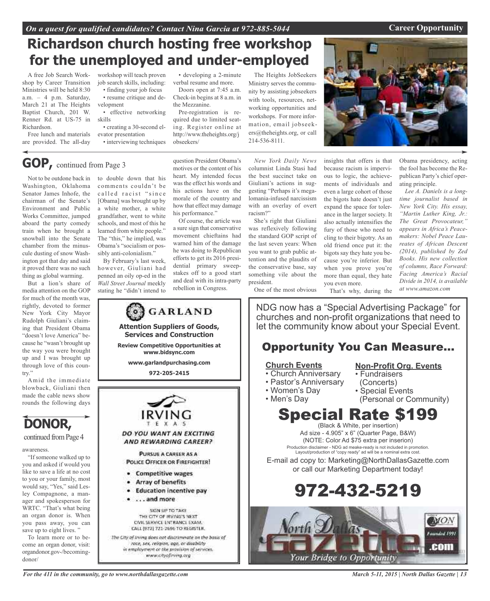# **Richardson church hosting free workshop for the unemployed and under-employed**

A free Job Search Workshop by Career Transition Ministries will be held 8:30 a.m. – 4 p.m. Saturday, March 21 at The Heights Baptist Church, 201 W. Renner Rd. at US-75 in Richardson.

Free lunch and materials are provided. The all-day

workshop will teach proven job search skills, including: • finding your job focus

- resume critique and development
- effective networking skills

evator presentation

sibly anti-colonialism." By February's last week, however, Giuliani had penned an oily op-ed in the *Wall Street Journal* meekly stating he "didn't intend to

• creating a 30-second el-• interviewing techniques Pre-registration is required due to limited seating. Register online at http://www.theheights.org/j obseekers/

the Mezzanine.

question President Obama's motives or the content of his heart. My intended focus was the effect his words and his actions have on the morale of the country and how that effect may damage

• developing a 2-minute verbal resume and more. Doors open at 7:45 a.m. Check-in begins at 8 a.m. in

Of course, the article was a sure sign that conservative movement chieftains had warned him of the damage he was doing to Republican efforts to get its 2016 presidential primary sweepstakes off to a good start and deal with its intra-party rebellion in Congress.

his performance."

The Heights JobSeekers Ministry serves the community by assisting jobseekers with tools, resources, networking opportunities and workshops. For more information, email jobseekers@theheights.org, or call 214-536-8111.

*New York Daily News* columnist Linda Stasi had the best succinct take on Giuliani's actions in suggesting "Perhaps it's megalomania-infused narcissism with an overlay of overt racism?"

She's right that Giuliani was reflexively following the standard GOP script of the last seven years: When you want to grab public attention and the plaudits of the conservative base, say something vile about the president. One of the most obvious

insights that offers is that because racism is impervious to logic, the achievements of individuals and even a large cohort of those the bigots hate doesn't just expand the space for tolerance in the larger society. It also actually intensifies the fury of those who need to cling to their bigotry. As an old friend once put it: the bigots say they hate you because you're inferior. But when you prove you're more than equal, they hate you even more.

Obama presidency, acting the fool has become the Republican Party's chief operating principle.

*Lee A. Daniels is a longtime journalist based in New York City. His essay, "Martin Luther King, Jr.: The Great Provocateur," appears in Africa's Peacemakers: Nobel Peace Laureates of African Descent (2014), published by Zed Books. His new collection of columns, Race Forward: Facing America's Racial Divide in 2014, is available at www.amazon.com*

That's why, during the

NDG now has a "Special Advertising Package" for churches and non-profit organizations that need to let the community know about your Special Event.

### Opportunity You Can Measure...

#### **Church Events** • Church Anniversary

#### **Non-Profit Org. Events**

- Fundraisers (Concerts)
- Pastor's Anniversary
- Women's Day • Men's Day
- Special Events (Personal or Community)

# Special Rate \$199

(Black & White, per insertion) Ad size - 4.905" x 6" (Quarter Page, B&W) (NOTE: Color Ad \$75 extra per inserion) Production disclaimer - NDG ad meake-ready is not included in promotion. Layout/production of "copy ready" ad will be a nominal extra cost.

E-mail ad copy to: Marketing@NorthDallasGazette.com or call our Marketing Department today!





Not to be outdone back in Washington, Oklahoma Senator James Inhofe, the chairman of the Senate's Environment and Public Works Committee, jumped aboard the party comedy train when he brought a to double down that his comments couldn't be called racist "since [Obama] was brought up by a white mother, a white grandfather, went to white schools, and most of this he learned from white people." The "this," he implied, was Obama's "socialism or pos-

**GOP,** continued from Page <sup>3</sup>

snowball into the Senate chamber from the minuscule dusting of snow Washington got that day and said it proved there was no such thing as global warming.

But a lion's share of media attention on the GOP for much of the month was, rightly, devoted to former New York City Mayor Rudolph Giuliani's claiming that President Obama "doesn't love America" because he "wasn't brought up the way you were brought up and I was brought up through love of this country."

Amid the immediate blowback, Giuliani then made the cable news show rounds the following days

# **DONOR,**

continued from Page 4

awareness.

"If someone walked up to you and asked if would you like to save a life at no cost to you or your family, most would say, "Yes," said Lesley Compagnone, a manager and spokesperson for WRTC. "That's what being an organ donor is. When you pass away, you can save up to eight lives."

To learn more or to become an organ donor, visit: organdonor.gov-/becomingdonor/



**Attention Suppliers of Goods, Services and Construction Review Competitive Opportunities at www.bidsync.com**

**GARLAND** 

*For the 411 in the community, go to www.northdallasgazette.com*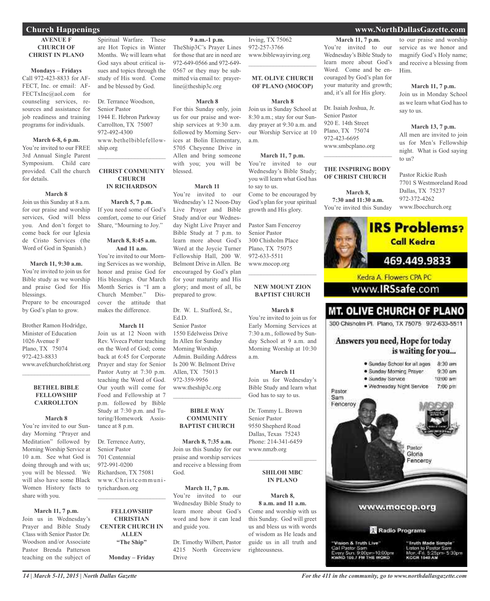#### **AVENUE F CHURCH OF CHRIST IN PLANO**

#### **Mondays – Fridays**

Call 972-423-8833 for AF-FECT, Inc. or email: AF-FECTxInc@aol.com for counseling services, resources and assistance for job readiness and training programs for individuals.

#### **March 6-8, 6 p.m.**

You're invited to our FREE 3rd Annual Single Parent Symposium. Child care provided. Call the church for details.

#### **March 8**

Join us this Sunday at 8 a.m. for our praise and worship services, God will bless you. And don't forget to come back for our Iglesia de Cristo Services (the Word of God in Spanish.)

#### **March 11, 9:30 a.m.**

You're invited to join us for Bible study as we worship and praise God for His blessings. Prepare to be encouraged

by God's plan to grow.

Brother Ramon Hodridge, Minister of Education 1026 Avenue F Plano, TX 75074 972-423-8833 www.avefchurchofchrist.org

#### **BETHEL BIBLE FELLOWSHIP CARROLLTON**

 $\mathcal{L}_\text{max}$  , which is a set of the set of the set of the set of the set of the set of the set of the set of the set of the set of the set of the set of the set of the set of the set of the set of the set of the set of

#### **March 8**

You're invited to our Sunday Morning "Prayer and Meditation" followed by Morning Worship Service at 10 a.m. See what God is doing through and with us; you will be blessed. We will also have some Black Women History facts to share with you.

**March 11, 7 p.m.** Join us in Wednesday's Prayer and Bible Study Class with Senior Pastor Dr. Woodson and/or Associate Pastor Brenda Patterson teaching on the subject of

Spiritual Warfare. These are Hot Topics in Winter Months. We will learn what God says about critical issues and topics through the study of His word. Come and be blessed by God.

Dr. Terrance Woodson, Senior Pastor 1944 E. Hebron Parkway Carrollton, TX 75007 972-492-4300 www.bethelbiblefellowship.org  $\mathcal{L}_\text{max}$  , which is a set of the set of the set of the set of the set of the set of the set of the set of the set of the set of the set of the set of the set of the set of the set of the set of the set of the set of

#### **CHRIST COMMUNITY CHURCH IN RICHARDSON**

**March 5, 7 p.m.** If you need some of God's comfort, come to our Grief Share, "Mourning to Joy."

#### **March 8, 8:45 a.m. And 11 a.m.**

You're invited to our Morning Services as we worship, honor and praise God for His blessings. Our March Month Series is "I am a Church Member." Discover the attitude that makes the difference.

#### **March 11**

Join us at 12 Noon with Rev. Viveca Potter teaching on the Word of God; come back at 6:45 for Corporate Prayer and stay for Senior Pastor Autry at 7:30 p.m. teaching the Word of God. Our youth will come for Food and Fellowship at 7 p.m. followed by Bible Study at 7:30 p.m. and Tutoring/Homework Assistance at 8 p.m.

Dr. Terrence Autry, Senior Pastor 701 Centennial 972-991-0200 Richardson, TX 75081 www.Christcommunityrichardson.org

#### **FELLOWSHIP CHRISTIAN CENTER CHURCH IN ALLEN "The Ship"**

 $\mathcal{L}_\text{max}$  , which is a set of the set of the set of the set of the set of the set of the set of the set of the set of the set of the set of the set of the set of the set of the set of the set of the set of the set of

**Monday – Friday**

**9 a.m.-1 p.m.** TheShip3C's Prayer Lines for those that are in need are 972-649-0566 and 972-649- 0567 or they may be submitted via email to: prayerline@theship3c.org

#### **March 8**

For this Sunday only, join us for our praise and worship services at 9:30 a.m. followed by Morning Services at Bolin Elementary, 5705 Cheyenne Drive in Allen and bring someone with you; you will be blessed.

#### **March 11**

You're invited to our Wednesday's 12 Noon-Day Live Prayer and Bible Study and/or our Wednesday Night Live Prayer and Bible Study at 7 p.m. to learn more about God's Word at the Joycie Turner Fellowship Hall, 200 W. Belmont Drive in Allen. Be encouraged by God's plan for your maturity and His glory; and most of all, be prepared to grow.

Dr. W. L. Stafford, Sr., Ed.D. Senior Pastor 1550 Edelweiss Drive In Allen for Sunday Morning Worship. Admin. Building Address Is 200 W. Belmont Drive Allen, TX 75013 972-359-9956 www.theship3c.org

#### **BIBLE WAY COMMUNITY BAPTIST CHURCH**

 $\mathcal{L}=\mathcal{L}^{\mathcal{L}}$  , where  $\mathcal{L}^{\mathcal{L}}$  , we have the set of the set of the set of the set of the set of the set of the set of the set of the set of the set of the set of the set of the set of the set of the set of

**March 8, 7:35 a.m.** Join us this Sunday for our praise and worship services and receive a blessing from God.

**March 11, 7 p.m.**

You're invited to our Wednesday Bible Study to learn more about God's word and how it can lead and guide you.

Dr. Timothy Wilbert, Pastor 4215 North Greenview Drive

Irving, TX 75062 972-257-3766 www.biblewayirving.org  $\mathcal{L}$  , and the set of the set of the set of the set of the set of the set of the set of the set of the set of the set of the set of the set of the set of the set of the set of the set of the set of the set of the set

#### **MT. OLIVE CHURCH OF PLANO (MOCOP)**

#### **March 8**

Join us in Sunday School at 8:30 a.m.; stay for our Sunday prayer at 9:30 a.m. and our Worship Service at 10 a.m.

#### **March 11, 7 p.m.**

You're invited to our Wednesday's Bible Study; you will learn what God has to say to us. Come to be encouraged by God's plan for your spiritual growth and His glory.

Pastor Sam Fenceroy Senior Pastor 300 Chisholm Place Plano, TX 75075 972-633-5511 www.mocop.org

#### **NEW MOUNT ZION BAPTIST CHURCH**

 $\mathcal{L}$  , and the set of the set of the set of the set of the set of the set of the set of the set of the set of the set of the set of the set of the set of the set of the set of the set of the set of the set of the set

#### **March 8**

You're invited to join us for Early Morning Services at 7:30 a.m., followed by Sunday School at 9 a.m. and Morning Worship at 10:30 a.m.

#### **March 11**

Join us for Wednesday's Bible Study and learn what God has to say to us.

Dr. Tommy L. Brown Senior Pastor 9550 Shepherd Road Dallas, Texas 75243 Phone: 214-341-6459 www.nmzb.org

#### **SHILOH MBC IN PLANO**

 $\mathcal{L}$  , and the set of the set of the set of the set of the set of the set of the set of the set of the set of the set of the set of the set of the set of the set of the set of the set of the set of the set of the set

**March 8, 8 a.m. and 11 a.m.** Come and worship with us this Sunday. God will greet us and bless us with words of wisdom as He leads and guide us in all truth and righteousness.

**March 11, 7 p.m.** You're invited to our Wednesday's Bible Study to learn more about God's Word. Come and be encouraged by God's plan for your maturity and growth; and, it's all for His glory.

Dr. Isaiah Joshua, Jr. Senior Pastor 920 E. 14th Street Plano, TX 75074 972-423-6695 www.smbcplano.org

#### **THE INSPIRING BODY OF CHRIST CHURCH**

 $\mathcal{L}_\text{max}$  , which is a set of the set of the set of the set of the set of the set of the set of the set of the set of the set of the set of the set of the set of the set of the set of the set of the set of the set of

**March 8, 7:30 and 11:30 a.m.** You're invited this Sunday



#### **March 11, 7 p.m.**

Join us in Monday School as we learn what God has to say to us.

#### **March 13, 7 p.m.**

All men are invited to join us for Men's Fellowship night. What is God saying to us?

Pastor Rickie Rush 7701 S Westmoreland Road Dallas, TX 75237 972-372-4262 www.Ibocchurch.org



#### www.mocop.org

Radio Programs

"Vision.& Truth Live" Call Pastor Sam<br>Every Sun: 9:00pm-10:00pm<br>KWRD 100.7 FM THE WORD

'Truth Made Simple' Listen to Pastor San

#### **Church Happenings www.NorthDallasGazette.com**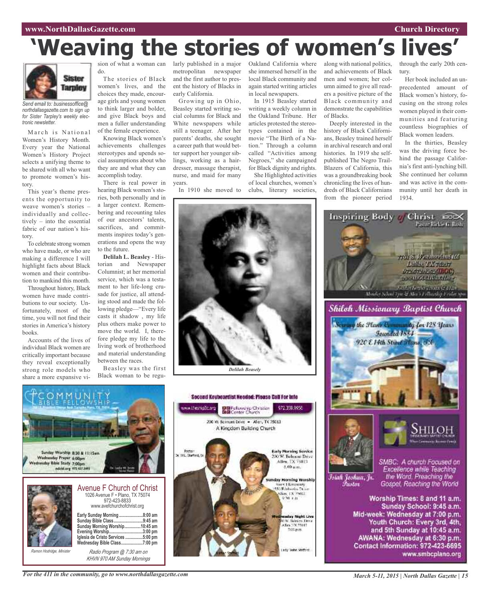# **'Weaving the stories of women's lives'**



*Send email to: businessoffice@ northdallasgazette.com to sign up for Sister Tarpley's weekly electronic newsletter.*

March is National Women's History Month. Every year the National Women's History Project selects a unifying theme to be shared with all who want to promote women's history.

This year's theme presents the opportunity to weave women's stories – individually and collectively – into the essential fabric of our nation's history.

To celebrate strong women who have made, or who are making a difference I will highlight facts about Black women and their contribution to mankind this month.

Throughout history, Black women have made contributions to our society. Unfortunately, most of the time, you will not find their stories in America's history books.

Accounts of the lives of individual Black women are critically important because they reveal exceptionally strong role models who share a more expansive vision of what a woman can do.

The stories of Black women's lives, and the choices they made, encourage girls and young women to think larger and bolder, and give Black boys and men a fuller understanding of the female experience.

Knowing Black women's achievements challenges stereotypes and upends social assumptions about who they are and what they can accomplish today.

There is real power in hearing Black women's stories, both personally and in a larger context. Remembering and recounting tales of our ancestors' talents, sacrifices, and commitments inspires today's generations and opens the way to the future.

**Delilah L. Beasley** - Historian and Newspaper Columnist; at her memorial service, which was a testament to her life-long crusade for justice, all attending stood and made the following pledge—"Every life casts it shadow , my life plus others make power to move the world. I, therefore pledge my life to the living work of brotherhood and material understanding between the races.

Beasley was the first Black woman to be regularly published in a major metropolitan newspaper and the first author to present the history of Blacks in early California.

Growing up in Ohio, Beasley started writing social columns for Black and White newspapers while still a teenager. After her parents' deaths, she sought a career path that would better support her younger siblings, working as a hairdresser, massage therapist, nurse, and maid for many years.

In 1910 she moved to

Oakland California where she immersed herself in the local Black community and again started writing articles in local newspapers.

In 1915 Beasley started writing a weekly column in the Oakland Tribune. Her articles protested the stereotypes contained in the movie "The Birth of a Nation." Through a column called "Activities among Negroes," she campaigned for Black dignity and rights.

She Highlighted activities of local churches, women's clubs, literary societies,

along with national politics, and achievements of Black men and women; her column aimed to give all readers a positive picture of the Black community and demonstrate the capabilities of Blacks.

Deeply interested in the history of Black Californians, Beasley trained herself in archival research and oral histories. In 1919 she selfpublished The Negro Trail-Blazers of California, this was a groundbreaking book chronicling the lives of hundreds of Black Californians from the pioneer period

through the early 20th century.

Her book included an unprecedented amount of Black women's history, focusing on the strong roles women played in their communities and featuring countless biographies of Black women leaders.

In the thirties, Beasley was the driving force behind the passage California's first anti-lynching bill. She continued her column and was active in the community until her death in 1934.



*Delilah Beasely*







Worship Times: 8 and 11 a.m. Sunday School: 9:45 a.m. Mid-week: Wednesday at 7:00 p.m. Youth Church: Every 3rd, 4th, and 5th Sunday at 10:45 a.m. AWANA: Wednesday at 6:30 p.m. Contact Information: 972-423-6695 www.smbcplano.org